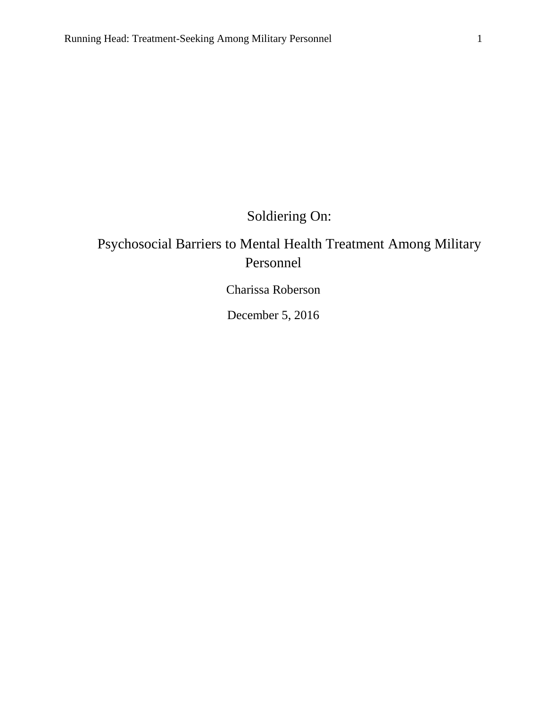Soldiering On:

## Psychosocial Barriers to Mental Health Treatment Among Military Personnel

Charissa Roberson

December 5, 2016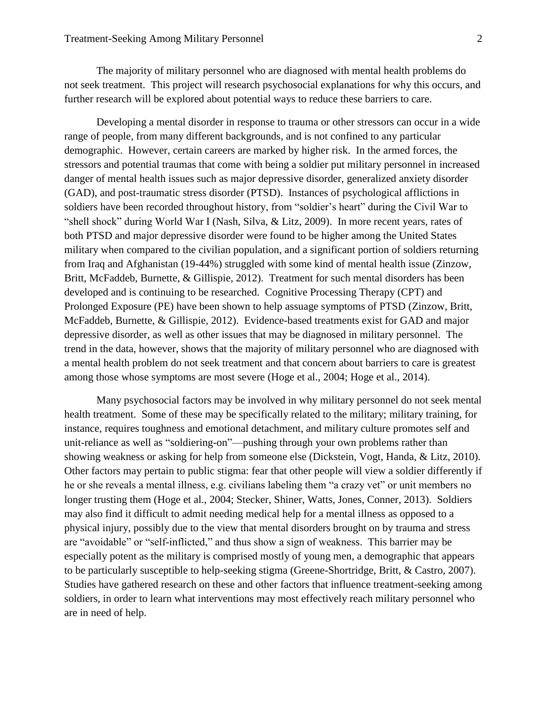The majority of military personnel who are diagnosed with mental health problems do not seek treatment. This project will research psychosocial explanations for why this occurs, and further research will be explored about potential ways to reduce these barriers to care.

Developing a mental disorder in response to trauma or other stressors can occur in a wide range of people, from many different backgrounds, and is not confined to any particular demographic. However, certain careers are marked by higher risk. In the armed forces, the stressors and potential traumas that come with being a soldier put military personnel in increased danger of mental health issues such as major depressive disorder, generalized anxiety disorder (GAD), and post-traumatic stress disorder (PTSD). Instances of psychological afflictions in soldiers have been recorded throughout history, from "soldier's heart" during the Civil War to "shell shock" during World War I (Nash, Silva, & Litz, 2009). In more recent years, rates of both PTSD and major depressive disorder were found to be higher among the United States military when compared to the civilian population, and a significant portion of soldiers returning from Iraq and Afghanistan (19-44%) struggled with some kind of mental health issue (Zinzow, Britt, McFaddeb, Burnette, & Gillispie, 2012). Treatment for such mental disorders has been developed and is continuing to be researched. Cognitive Processing Therapy (CPT) and Prolonged Exposure (PE) have been shown to help assuage symptoms of PTSD (Zinzow, Britt, McFaddeb, Burnette, & Gillispie, 2012). Evidence-based treatments exist for GAD and major depressive disorder, as well as other issues that may be diagnosed in military personnel. The trend in the data, however, shows that the majority of military personnel who are diagnosed with a mental health problem do not seek treatment and that concern about barriers to care is greatest among those whose symptoms are most severe (Hoge et al., 2004; Hoge et al., 2014).

Many psychosocial factors may be involved in why military personnel do not seek mental health treatment. Some of these may be specifically related to the military; military training, for instance, requires toughness and emotional detachment, and military culture promotes self and unit-reliance as well as "soldiering-on"—pushing through your own problems rather than showing weakness or asking for help from someone else (Dickstein, Vogt, Handa, & Litz, 2010). Other factors may pertain to public stigma: fear that other people will view a soldier differently if he or she reveals a mental illness, e.g. civilians labeling them "a crazy vet" or unit members no longer trusting them (Hoge et al., 2004; Stecker, Shiner, Watts, Jones, Conner, 2013). Soldiers may also find it difficult to admit needing medical help for a mental illness as opposed to a physical injury, possibly due to the view that mental disorders brought on by trauma and stress are "avoidable" or "self-inflicted," and thus show a sign of weakness. This barrier may be especially potent as the military is comprised mostly of young men, a demographic that appears to be particularly susceptible to help-seeking stigma (Greene-Shortridge, Britt, & Castro, 2007). Studies have gathered research on these and other factors that influence treatment-seeking among soldiers, in order to learn what interventions may most effectively reach military personnel who are in need of help.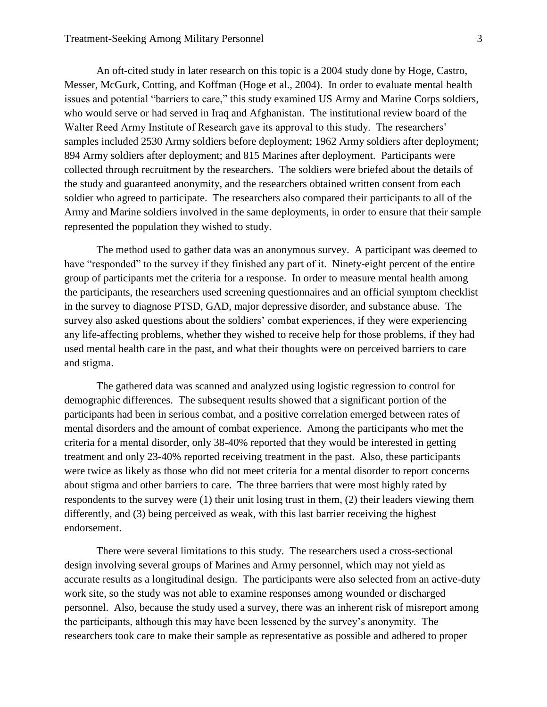An oft-cited study in later research on this topic is a 2004 study done by Hoge, Castro, Messer, McGurk, Cotting, and Koffman (Hoge et al., 2004). In order to evaluate mental health issues and potential "barriers to care," this study examined US Army and Marine Corps soldiers, who would serve or had served in Iraq and Afghanistan. The institutional review board of the Walter Reed Army Institute of Research gave its approval to this study. The researchers' samples included 2530 Army soldiers before deployment; 1962 Army soldiers after deployment; 894 Army soldiers after deployment; and 815 Marines after deployment. Participants were collected through recruitment by the researchers. The soldiers were briefed about the details of the study and guaranteed anonymity, and the researchers obtained written consent from each soldier who agreed to participate. The researchers also compared their participants to all of the Army and Marine soldiers involved in the same deployments, in order to ensure that their sample represented the population they wished to study.

The method used to gather data was an anonymous survey. A participant was deemed to have "responded" to the survey if they finished any part of it. Ninety-eight percent of the entire group of participants met the criteria for a response. In order to measure mental health among the participants, the researchers used screening questionnaires and an official symptom checklist in the survey to diagnose PTSD, GAD, major depressive disorder, and substance abuse. The survey also asked questions about the soldiers' combat experiences, if they were experiencing any life-affecting problems, whether they wished to receive help for those problems, if they had used mental health care in the past, and what their thoughts were on perceived barriers to care and stigma.

The gathered data was scanned and analyzed using logistic regression to control for demographic differences. The subsequent results showed that a significant portion of the participants had been in serious combat, and a positive correlation emerged between rates of mental disorders and the amount of combat experience. Among the participants who met the criteria for a mental disorder, only 38-40% reported that they would be interested in getting treatment and only 23-40% reported receiving treatment in the past. Also, these participants were twice as likely as those who did not meet criteria for a mental disorder to report concerns about stigma and other barriers to care. The three barriers that were most highly rated by respondents to the survey were (1) their unit losing trust in them, (2) their leaders viewing them differently, and (3) being perceived as weak, with this last barrier receiving the highest endorsement.

There were several limitations to this study. The researchers used a cross-sectional design involving several groups of Marines and Army personnel, which may not yield as accurate results as a longitudinal design. The participants were also selected from an active-duty work site, so the study was not able to examine responses among wounded or discharged personnel. Also, because the study used a survey, there was an inherent risk of misreport among the participants, although this may have been lessened by the survey's anonymity. The researchers took care to make their sample as representative as possible and adhered to proper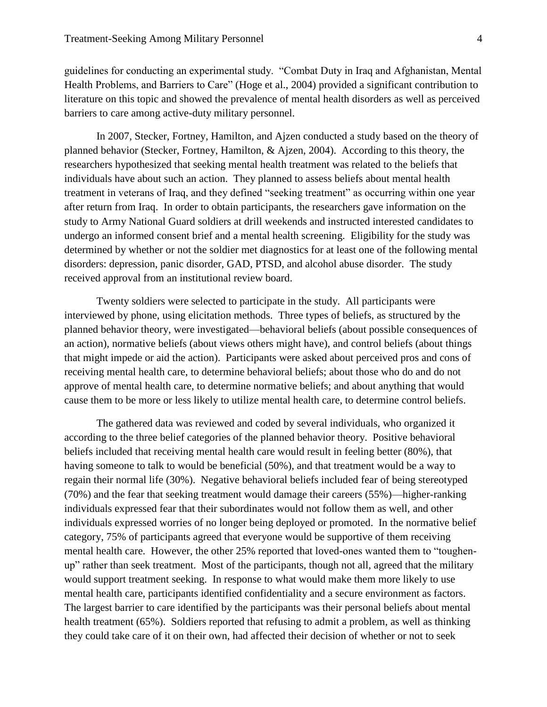guidelines for conducting an experimental study. "Combat Duty in Iraq and Afghanistan, Mental Health Problems, and Barriers to Care" (Hoge et al., 2004) provided a significant contribution to literature on this topic and showed the prevalence of mental health disorders as well as perceived barriers to care among active-duty military personnel.

In 2007, Stecker, Fortney, Hamilton, and Ajzen conducted a study based on the theory of planned behavior (Stecker, Fortney, Hamilton, & Ajzen, 2004). According to this theory, the researchers hypothesized that seeking mental health treatment was related to the beliefs that individuals have about such an action. They planned to assess beliefs about mental health treatment in veterans of Iraq, and they defined "seeking treatment" as occurring within one year after return from Iraq. In order to obtain participants, the researchers gave information on the study to Army National Guard soldiers at drill weekends and instructed interested candidates to undergo an informed consent brief and a mental health screening. Eligibility for the study was determined by whether or not the soldier met diagnostics for at least one of the following mental disorders: depression, panic disorder, GAD, PTSD, and alcohol abuse disorder. The study received approval from an institutional review board.

Twenty soldiers were selected to participate in the study. All participants were interviewed by phone, using elicitation methods. Three types of beliefs, as structured by the planned behavior theory, were investigated—behavioral beliefs (about possible consequences of an action), normative beliefs (about views others might have), and control beliefs (about things that might impede or aid the action). Participants were asked about perceived pros and cons of receiving mental health care, to determine behavioral beliefs; about those who do and do not approve of mental health care, to determine normative beliefs; and about anything that would cause them to be more or less likely to utilize mental health care, to determine control beliefs.

The gathered data was reviewed and coded by several individuals, who organized it according to the three belief categories of the planned behavior theory. Positive behavioral beliefs included that receiving mental health care would result in feeling better (80%), that having someone to talk to would be beneficial (50%), and that treatment would be a way to regain their normal life (30%). Negative behavioral beliefs included fear of being stereotyped (70%) and the fear that seeking treatment would damage their careers (55%)—higher-ranking individuals expressed fear that their subordinates would not follow them as well, and other individuals expressed worries of no longer being deployed or promoted. In the normative belief category, 75% of participants agreed that everyone would be supportive of them receiving mental health care. However, the other 25% reported that loved-ones wanted them to "toughenup" rather than seek treatment. Most of the participants, though not all, agreed that the military would support treatment seeking. In response to what would make them more likely to use mental health care, participants identified confidentiality and a secure environment as factors. The largest barrier to care identified by the participants was their personal beliefs about mental health treatment (65%). Soldiers reported that refusing to admit a problem, as well as thinking they could take care of it on their own, had affected their decision of whether or not to seek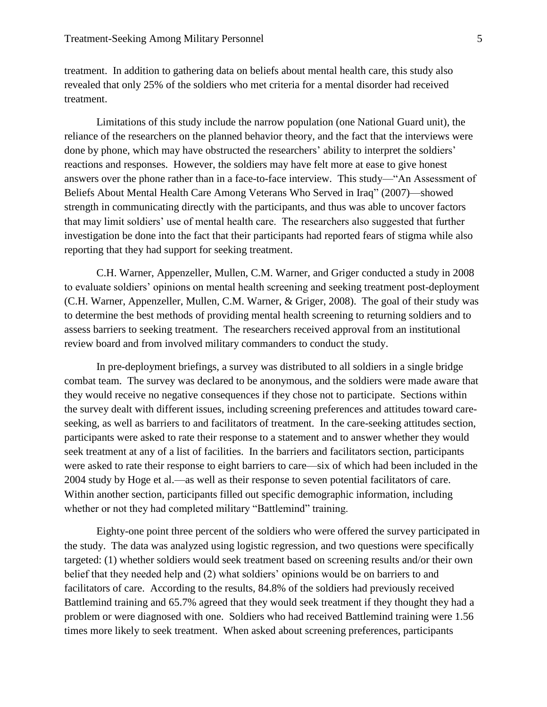treatment. In addition to gathering data on beliefs about mental health care, this study also revealed that only 25% of the soldiers who met criteria for a mental disorder had received treatment.

Limitations of this study include the narrow population (one National Guard unit), the reliance of the researchers on the planned behavior theory, and the fact that the interviews were done by phone, which may have obstructed the researchers' ability to interpret the soldiers' reactions and responses. However, the soldiers may have felt more at ease to give honest answers over the phone rather than in a face-to-face interview. This study—"An Assessment of Beliefs About Mental Health Care Among Veterans Who Served in Iraq" (2007)—showed strength in communicating directly with the participants, and thus was able to uncover factors that may limit soldiers' use of mental health care. The researchers also suggested that further investigation be done into the fact that their participants had reported fears of stigma while also reporting that they had support for seeking treatment.

C.H. Warner, Appenzeller, Mullen, C.M. Warner, and Griger conducted a study in 2008 to evaluate soldiers' opinions on mental health screening and seeking treatment post-deployment (C.H. Warner, Appenzeller, Mullen, C.M. Warner, & Griger, 2008). The goal of their study was to determine the best methods of providing mental health screening to returning soldiers and to assess barriers to seeking treatment. The researchers received approval from an institutional review board and from involved military commanders to conduct the study.

In pre-deployment briefings, a survey was distributed to all soldiers in a single bridge combat team. The survey was declared to be anonymous, and the soldiers were made aware that they would receive no negative consequences if they chose not to participate. Sections within the survey dealt with different issues, including screening preferences and attitudes toward careseeking, as well as barriers to and facilitators of treatment. In the care-seeking attitudes section, participants were asked to rate their response to a statement and to answer whether they would seek treatment at any of a list of facilities. In the barriers and facilitators section, participants were asked to rate their response to eight barriers to care—six of which had been included in the 2004 study by Hoge et al.—as well as their response to seven potential facilitators of care. Within another section, participants filled out specific demographic information, including whether or not they had completed military "Battlemind" training.

Eighty-one point three percent of the soldiers who were offered the survey participated in the study. The data was analyzed using logistic regression, and two questions were specifically targeted: (1) whether soldiers would seek treatment based on screening results and/or their own belief that they needed help and (2) what soldiers' opinions would be on barriers to and facilitators of care. According to the results, 84.8% of the soldiers had previously received Battlemind training and 65.7% agreed that they would seek treatment if they thought they had a problem or were diagnosed with one. Soldiers who had received Battlemind training were 1.56 times more likely to seek treatment. When asked about screening preferences, participants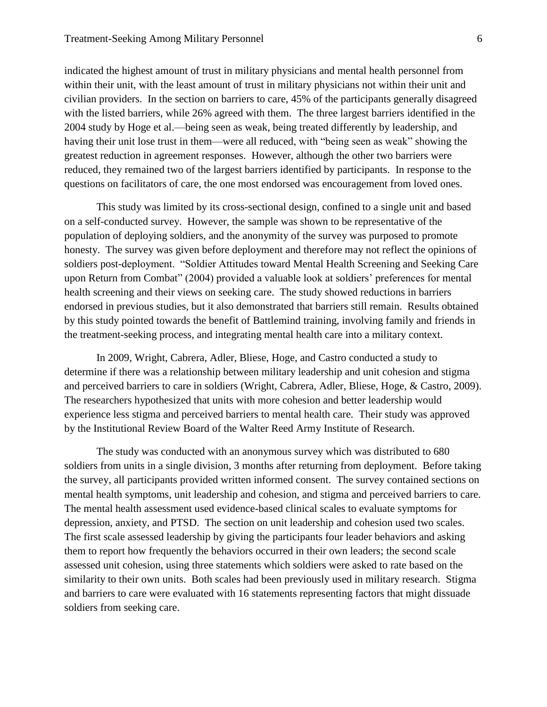indicated the highest amount of trust in military physicians and mental health personnel from within their unit, with the least amount of trust in military physicians not within their unit and civilian providers. In the section on barriers to care, 45% of the participants generally disagreed with the listed barriers, while 26% agreed with them. The three largest barriers identified in the 2004 study by Hoge et al.—being seen as weak, being treated differently by leadership, and having their unit lose trust in them—were all reduced, with "being seen as weak" showing the greatest reduction in agreement responses. However, although the other two barriers were reduced, they remained two of the largest barriers identified by participants. In response to the questions on facilitators of care, the one most endorsed was encouragement from loved ones.

This study was limited by its cross-sectional design, confined to a single unit and based on a self-conducted survey. However, the sample was shown to be representative of the population of deploying soldiers, and the anonymity of the survey was purposed to promote honesty. The survey was given before deployment and therefore may not reflect the opinions of soldiers post-deployment. "Soldier Attitudes toward Mental Health Screening and Seeking Care upon Return from Combat" (2004) provided a valuable look at soldiers' preferences for mental health screening and their views on seeking care. The study showed reductions in barriers endorsed in previous studies, but it also demonstrated that barriers still remain. Results obtained by this study pointed towards the benefit of Battlemind training, involving family and friends in the treatment-seeking process, and integrating mental health care into a military context.

In 2009, Wright, Cabrera, Adler, Bliese, Hoge, and Castro conducted a study to determine if there was a relationship between military leadership and unit cohesion and stigma and perceived barriers to care in soldiers (Wright, Cabrera, Adler, Bliese, Hoge, & Castro, 2009). The researchers hypothesized that units with more cohesion and better leadership would experience less stigma and perceived barriers to mental health care. Their study was approved by the Institutional Review Board of the Walter Reed Army Institute of Research.

The study was conducted with an anonymous survey which was distributed to 680 soldiers from units in a single division, 3 months after returning from deployment. Before taking the survey, all participants provided written informed consent. The survey contained sections on mental health symptoms, unit leadership and cohesion, and stigma and perceived barriers to care. The mental health assessment used evidence-based clinical scales to evaluate symptoms for depression, anxiety, and PTSD. The section on unit leadership and cohesion used two scales. The first scale assessed leadership by giving the participants four leader behaviors and asking them to report how frequently the behaviors occurred in their own leaders; the second scale assessed unit cohesion, using three statements which soldiers were asked to rate based on the similarity to their own units. Both scales had been previously used in military research. Stigma and barriers to care were evaluated with 16 statements representing factors that might dissuade soldiers from seeking care.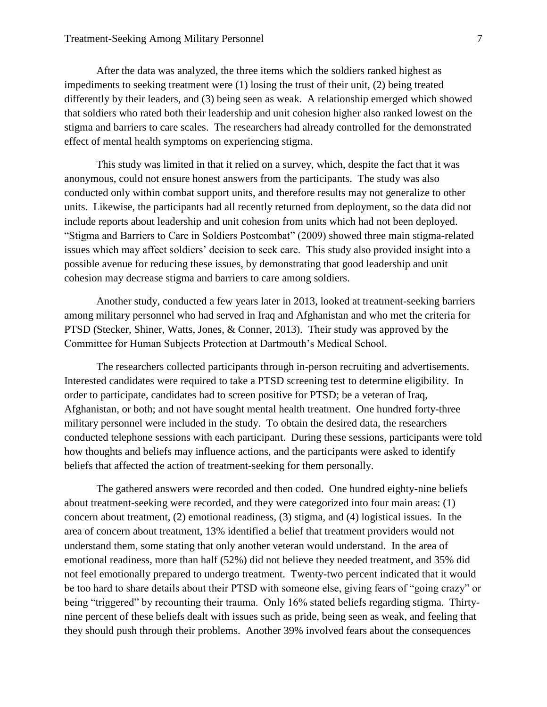After the data was analyzed, the three items which the soldiers ranked highest as impediments to seeking treatment were (1) losing the trust of their unit, (2) being treated differently by their leaders, and (3) being seen as weak. A relationship emerged which showed that soldiers who rated both their leadership and unit cohesion higher also ranked lowest on the stigma and barriers to care scales. The researchers had already controlled for the demonstrated effect of mental health symptoms on experiencing stigma.

This study was limited in that it relied on a survey, which, despite the fact that it was anonymous, could not ensure honest answers from the participants. The study was also conducted only within combat support units, and therefore results may not generalize to other units. Likewise, the participants had all recently returned from deployment, so the data did not include reports about leadership and unit cohesion from units which had not been deployed. "Stigma and Barriers to Care in Soldiers Postcombat" (2009) showed three main stigma-related issues which may affect soldiers' decision to seek care. This study also provided insight into a possible avenue for reducing these issues, by demonstrating that good leadership and unit cohesion may decrease stigma and barriers to care among soldiers.

Another study, conducted a few years later in 2013, looked at treatment-seeking barriers among military personnel who had served in Iraq and Afghanistan and who met the criteria for PTSD (Stecker, Shiner, Watts, Jones, & Conner, 2013). Their study was approved by the Committee for Human Subjects Protection at Dartmouth's Medical School.

The researchers collected participants through in-person recruiting and advertisements. Interested candidates were required to take a PTSD screening test to determine eligibility. In order to participate, candidates had to screen positive for PTSD; be a veteran of Iraq, Afghanistan, or both; and not have sought mental health treatment. One hundred forty-three military personnel were included in the study. To obtain the desired data, the researchers conducted telephone sessions with each participant. During these sessions, participants were told how thoughts and beliefs may influence actions, and the participants were asked to identify beliefs that affected the action of treatment-seeking for them personally.

The gathered answers were recorded and then coded. One hundred eighty-nine beliefs about treatment-seeking were recorded, and they were categorized into four main areas: (1) concern about treatment, (2) emotional readiness, (3) stigma, and (4) logistical issues. In the area of concern about treatment, 13% identified a belief that treatment providers would not understand them, some stating that only another veteran would understand. In the area of emotional readiness, more than half (52%) did not believe they needed treatment, and 35% did not feel emotionally prepared to undergo treatment. Twenty-two percent indicated that it would be too hard to share details about their PTSD with someone else, giving fears of "going crazy" or being "triggered" by recounting their trauma. Only 16% stated beliefs regarding stigma. Thirtynine percent of these beliefs dealt with issues such as pride, being seen as weak, and feeling that they should push through their problems. Another 39% involved fears about the consequences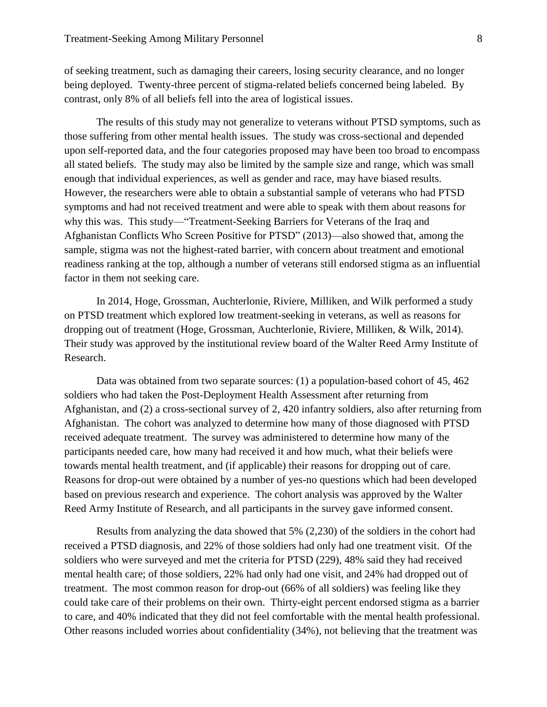of seeking treatment, such as damaging their careers, losing security clearance, and no longer being deployed. Twenty-three percent of stigma-related beliefs concerned being labeled. By contrast, only 8% of all beliefs fell into the area of logistical issues.

The results of this study may not generalize to veterans without PTSD symptoms, such as those suffering from other mental health issues. The study was cross-sectional and depended upon self-reported data, and the four categories proposed may have been too broad to encompass all stated beliefs. The study may also be limited by the sample size and range, which was small enough that individual experiences, as well as gender and race, may have biased results. However, the researchers were able to obtain a substantial sample of veterans who had PTSD symptoms and had not received treatment and were able to speak with them about reasons for why this was. This study—"Treatment-Seeking Barriers for Veterans of the Iraq and Afghanistan Conflicts Who Screen Positive for PTSD" (2013)—also showed that, among the sample, stigma was not the highest-rated barrier, with concern about treatment and emotional readiness ranking at the top, although a number of veterans still endorsed stigma as an influential factor in them not seeking care.

In 2014, Hoge, Grossman, Auchterlonie, Riviere, Milliken, and Wilk performed a study on PTSD treatment which explored low treatment-seeking in veterans, as well as reasons for dropping out of treatment (Hoge, Grossman, Auchterlonie, Riviere, Milliken, & Wilk, 2014). Their study was approved by the institutional review board of the Walter Reed Army Institute of Research.

Data was obtained from two separate sources: (1) a population-based cohort of 45, 462 soldiers who had taken the Post-Deployment Health Assessment after returning from Afghanistan, and (2) a cross-sectional survey of 2, 420 infantry soldiers, also after returning from Afghanistan. The cohort was analyzed to determine how many of those diagnosed with PTSD received adequate treatment. The survey was administered to determine how many of the participants needed care, how many had received it and how much, what their beliefs were towards mental health treatment, and (if applicable) their reasons for dropping out of care. Reasons for drop-out were obtained by a number of yes-no questions which had been developed based on previous research and experience. The cohort analysis was approved by the Walter Reed Army Institute of Research, and all participants in the survey gave informed consent.

Results from analyzing the data showed that 5% (2,230) of the soldiers in the cohort had received a PTSD diagnosis, and 22% of those soldiers had only had one treatment visit. Of the soldiers who were surveyed and met the criteria for PTSD (229), 48% said they had received mental health care; of those soldiers, 22% had only had one visit, and 24% had dropped out of treatment. The most common reason for drop-out (66% of all soldiers) was feeling like they could take care of their problems on their own. Thirty-eight percent endorsed stigma as a barrier to care, and 40% indicated that they did not feel comfortable with the mental health professional. Other reasons included worries about confidentiality (34%), not believing that the treatment was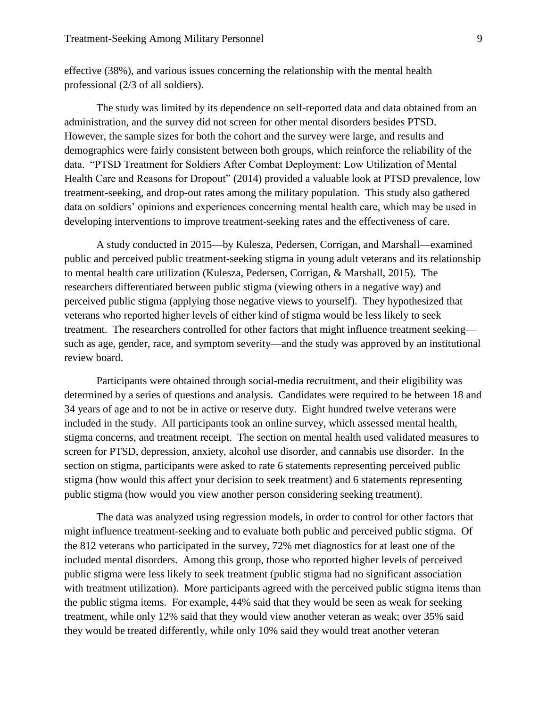effective (38%), and various issues concerning the relationship with the mental health professional (2/3 of all soldiers).

The study was limited by its dependence on self-reported data and data obtained from an administration, and the survey did not screen for other mental disorders besides PTSD. However, the sample sizes for both the cohort and the survey were large, and results and demographics were fairly consistent between both groups, which reinforce the reliability of the data. "PTSD Treatment for Soldiers After Combat Deployment: Low Utilization of Mental Health Care and Reasons for Dropout" (2014) provided a valuable look at PTSD prevalence, low treatment-seeking, and drop-out rates among the military population. This study also gathered data on soldiers' opinions and experiences concerning mental health care, which may be used in developing interventions to improve treatment-seeking rates and the effectiveness of care.

A study conducted in 2015—by Kulesza, Pedersen, Corrigan, and Marshall—examined public and perceived public treatment-seeking stigma in young adult veterans and its relationship to mental health care utilization (Kulesza, Pedersen, Corrigan, & Marshall, 2015). The researchers differentiated between public stigma (viewing others in a negative way) and perceived public stigma (applying those negative views to yourself). They hypothesized that veterans who reported higher levels of either kind of stigma would be less likely to seek treatment. The researchers controlled for other factors that might influence treatment seeking such as age, gender, race, and symptom severity—and the study was approved by an institutional review board.

Participants were obtained through social-media recruitment, and their eligibility was determined by a series of questions and analysis. Candidates were required to be between 18 and 34 years of age and to not be in active or reserve duty. Eight hundred twelve veterans were included in the study. All participants took an online survey, which assessed mental health, stigma concerns, and treatment receipt. The section on mental health used validated measures to screen for PTSD, depression, anxiety, alcohol use disorder, and cannabis use disorder. In the section on stigma, participants were asked to rate 6 statements representing perceived public stigma (how would this affect your decision to seek treatment) and 6 statements representing public stigma (how would you view another person considering seeking treatment).

The data was analyzed using regression models, in order to control for other factors that might influence treatment-seeking and to evaluate both public and perceived public stigma. Of the 812 veterans who participated in the survey, 72% met diagnostics for at least one of the included mental disorders. Among this group, those who reported higher levels of perceived public stigma were less likely to seek treatment (public stigma had no significant association with treatment utilization). More participants agreed with the perceived public stigma items than the public stigma items. For example, 44% said that they would be seen as weak for seeking treatment, while only 12% said that they would view another veteran as weak; over 35% said they would be treated differently, while only 10% said they would treat another veteran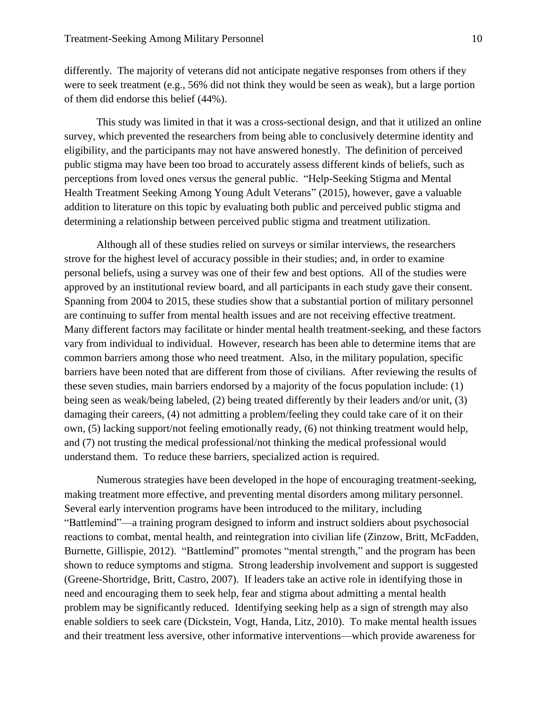differently. The majority of veterans did not anticipate negative responses from others if they were to seek treatment (e.g., 56% did not think they would be seen as weak), but a large portion of them did endorse this belief (44%).

This study was limited in that it was a cross-sectional design, and that it utilized an online survey, which prevented the researchers from being able to conclusively determine identity and eligibility, and the participants may not have answered honestly. The definition of perceived public stigma may have been too broad to accurately assess different kinds of beliefs, such as perceptions from loved ones versus the general public. "Help-Seeking Stigma and Mental Health Treatment Seeking Among Young Adult Veterans" (2015), however, gave a valuable addition to literature on this topic by evaluating both public and perceived public stigma and determining a relationship between perceived public stigma and treatment utilization.

Although all of these studies relied on surveys or similar interviews, the researchers strove for the highest level of accuracy possible in their studies; and, in order to examine personal beliefs, using a survey was one of their few and best options. All of the studies were approved by an institutional review board, and all participants in each study gave their consent. Spanning from 2004 to 2015, these studies show that a substantial portion of military personnel are continuing to suffer from mental health issues and are not receiving effective treatment. Many different factors may facilitate or hinder mental health treatment-seeking, and these factors vary from individual to individual. However, research has been able to determine items that are common barriers among those who need treatment. Also, in the military population, specific barriers have been noted that are different from those of civilians. After reviewing the results of these seven studies, main barriers endorsed by a majority of the focus population include: (1) being seen as weak/being labeled, (2) being treated differently by their leaders and/or unit, (3) damaging their careers, (4) not admitting a problem/feeling they could take care of it on their own, (5) lacking support/not feeling emotionally ready, (6) not thinking treatment would help, and (7) not trusting the medical professional/not thinking the medical professional would understand them. To reduce these barriers, specialized action is required.

Numerous strategies have been developed in the hope of encouraging treatment-seeking, making treatment more effective, and preventing mental disorders among military personnel. Several early intervention programs have been introduced to the military, including "Battlemind"—a training program designed to inform and instruct soldiers about psychosocial reactions to combat, mental health, and reintegration into civilian life (Zinzow, Britt, McFadden, Burnette, Gillispie, 2012). "Battlemind" promotes "mental strength," and the program has been shown to reduce symptoms and stigma. Strong leadership involvement and support is suggested (Greene-Shortridge, Britt, Castro, 2007). If leaders take an active role in identifying those in need and encouraging them to seek help, fear and stigma about admitting a mental health problem may be significantly reduced. Identifying seeking help as a sign of strength may also enable soldiers to seek care (Dickstein, Vogt, Handa, Litz, 2010). To make mental health issues and their treatment less aversive, other informative interventions—which provide awareness for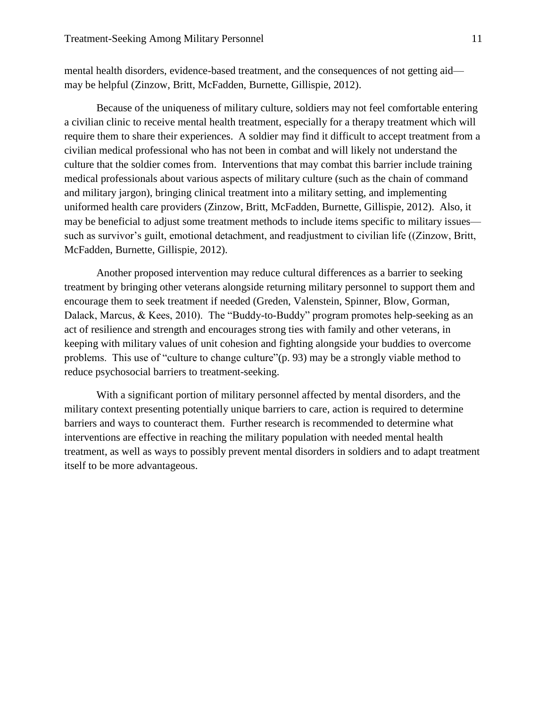mental health disorders, evidence-based treatment, and the consequences of not getting aid may be helpful (Zinzow, Britt, McFadden, Burnette, Gillispie, 2012).

Because of the uniqueness of military culture, soldiers may not feel comfortable entering a civilian clinic to receive mental health treatment, especially for a therapy treatment which will require them to share their experiences. A soldier may find it difficult to accept treatment from a civilian medical professional who has not been in combat and will likely not understand the culture that the soldier comes from. Interventions that may combat this barrier include training medical professionals about various aspects of military culture (such as the chain of command and military jargon), bringing clinical treatment into a military setting, and implementing uniformed health care providers (Zinzow, Britt, McFadden, Burnette, Gillispie, 2012). Also, it may be beneficial to adjust some treatment methods to include items specific to military issues such as survivor's guilt, emotional detachment, and readjustment to civilian life ((Zinzow, Britt, McFadden, Burnette, Gillispie, 2012).

Another proposed intervention may reduce cultural differences as a barrier to seeking treatment by bringing other veterans alongside returning military personnel to support them and encourage them to seek treatment if needed (Greden, Valenstein, Spinner, Blow, Gorman, Dalack, Marcus, & Kees, 2010). The "Buddy-to-Buddy" program promotes help-seeking as an act of resilience and strength and encourages strong ties with family and other veterans, in keeping with military values of unit cohesion and fighting alongside your buddies to overcome problems. This use of "culture to change culture"(p. 93) may be a strongly viable method to reduce psychosocial barriers to treatment-seeking.

With a significant portion of military personnel affected by mental disorders, and the military context presenting potentially unique barriers to care, action is required to determine barriers and ways to counteract them. Further research is recommended to determine what interventions are effective in reaching the military population with needed mental health treatment, as well as ways to possibly prevent mental disorders in soldiers and to adapt treatment itself to be more advantageous.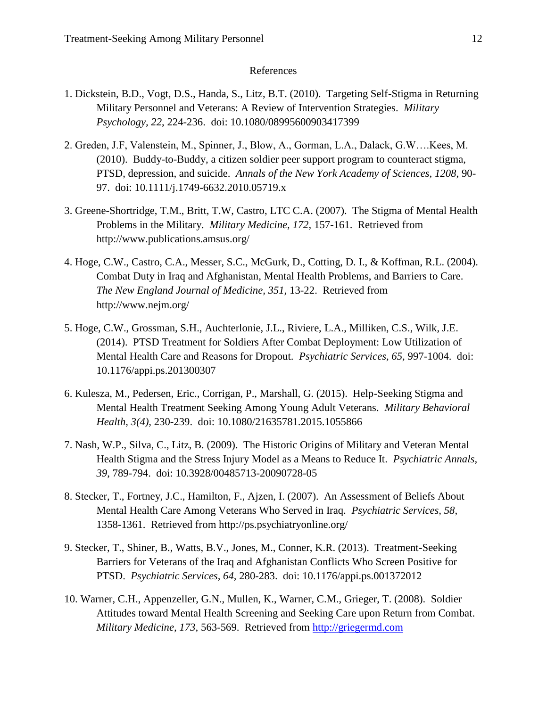## References

- 1. Dickstein, B.D., Vogt, D.S., Handa, S., Litz, B.T. (2010). Targeting Self-Stigma in Returning Military Personnel and Veterans: A Review of Intervention Strategies. *Military Psychology, 22*, 224-236. doi: 10.1080/08995600903417399
- 2. Greden, J.F, Valenstein, M., Spinner, J., Blow, A., Gorman, L.A., Dalack, G.W….Kees, M. (2010). Buddy-to-Buddy, a citizen soldier peer support program to counteract stigma, PTSD, depression, and suicide. *Annals of the New York Academy of Sciences, 1208*, 90- 97. doi: 10.1111/j.1749-6632.2010.05719.x
- 3. Greene-Shortridge, T.M., Britt, T.W, Castro, LTC C.A. (2007). The Stigma of Mental Health Problems in the Military. *Military Medicine, 172,* 157-161. Retrieved from http://www.publications.amsus.org/
- 4. Hoge, C.W., Castro, C.A., Messer, S.C., McGurk, D., Cotting, D. I., & Koffman, R.L. (2004). Combat Duty in Iraq and Afghanistan, Mental Health Problems, and Barriers to Care. *The New England Journal of Medicine, 351,* 13-22. Retrieved from http://www.nejm.org/
- 5. Hoge, C.W., Grossman, S.H., Auchterlonie, J.L., Riviere, L.A., Milliken, C.S., Wilk, J.E. (2014). PTSD Treatment for Soldiers After Combat Deployment: Low Utilization of Mental Health Care and Reasons for Dropout. *Psychiatric Services, 65,* 997-1004. doi: 10.1176/appi.ps.201300307
- 6. Kulesza, M., Pedersen, Eric., Corrigan, P., Marshall, G. (2015). Help-Seeking Stigma and Mental Health Treatment Seeking Among Young Adult Veterans. *Military Behavioral Health, 3(4),* 230-239. doi: 10.1080/21635781.2015.1055866
- 7. Nash, W.P., Silva, C., Litz, B. (2009). The Historic Origins of Military and Veteran Mental Health Stigma and the Stress Injury Model as a Means to Reduce It. *Psychiatric Annals, 39*, 789-794. doi: 10.3928/00485713-20090728-05
- 8. Stecker, T., Fortney, J.C., Hamilton, F., Ajzen, I. (2007). An Assessment of Beliefs About Mental Health Care Among Veterans Who Served in Iraq. *Psychiatric Services, 58*, 1358-1361. Retrieved from http://ps.psychiatryonline.org/
- 9. Stecker, T., Shiner, B., Watts, B.V., Jones, M., Conner, K.R. (2013). Treatment-Seeking Barriers for Veterans of the Iraq and Afghanistan Conflicts Who Screen Positive for PTSD. *Psychiatric Services, 64,* 280-283. doi: 10.1176/appi.ps.001372012
- 10. Warner, C.H., Appenzeller, G.N., Mullen, K., Warner, C.M., Grieger, T. (2008). Soldier Attitudes toward Mental Health Screening and Seeking Care upon Return from Combat. *Military Medicine, 173,* 563-569. Retrieved from [http://griegermd.com](http://griegermd.com/)